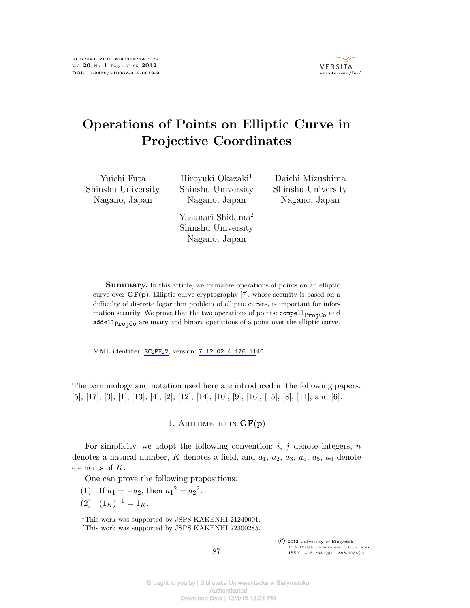

# **Operations of Points on Elliptic Curve in Projective Coordinates**

Yuichi Futa Shinshu University Nagano, Japan

Hiroyuki Okazaki<sup>1</sup> Shinshu University Nagano, Japan

Shinshu University Nagano, Japan

Shinshu University Nagano, Japan Yasunari Shidama<sup>2</sup>

Daichi Mizushima

**Summary.** In this article, we formalize operations of points on an elliptic curve over **GF**(**p**). Elliptic curve cryptography [7], whose security is based on a difficulty of discrete logarithm problem of elliptic curves, is important for information security. We prove that the two operations of points:  $\mathsf{compellp}_{\text{ro}^{\dagger}Co}$  and addell $p_{\text{rojCo}}$  are unary and binary operations of a point over the elliptic curve.

MML identifier: EC\_[PF](http://fm.mizar.org/miz/ec_pf_2.miz)\_2, version: 7.12.02 [4.1](http://ftp.mizar.org/)76.1140

The terminology and notation used here are introduced in the following papers: [5], [17], [3], [1], [13], [4], [2], [12], [14], [10], [9], [16], [15], [8], [11], and [6].

1. ARITHMETIC IN  $GF(p)$ 

For simplicity, we adopt the following convention: *i*, *j* denote integers, *n* denotes a natural number, K denotes a field, and  $a_1$ ,  $a_2$ ,  $a_3$ ,  $a_4$ ,  $a_5$ ,  $a_6$  denote elements of *K*.

One can prove the following propositions:

- (1) If  $a_1 = -a_2$ , then  $a_1^2 = a_2^2$ .
- $(2)$   $(1_K)^{-1} = 1_K.$

<sup>1</sup>This work was supported by JSPS KAKENHI 21240001.

 $\overline{\text{C}}$  2012 University of Białystok CC-BY-SA License ver. 3.0 or later ISSN 1426–2630(p), 1898-9934(e)

 $^2 \mathrm{This}$  work was supported by JSPS KAKENHI 22300285.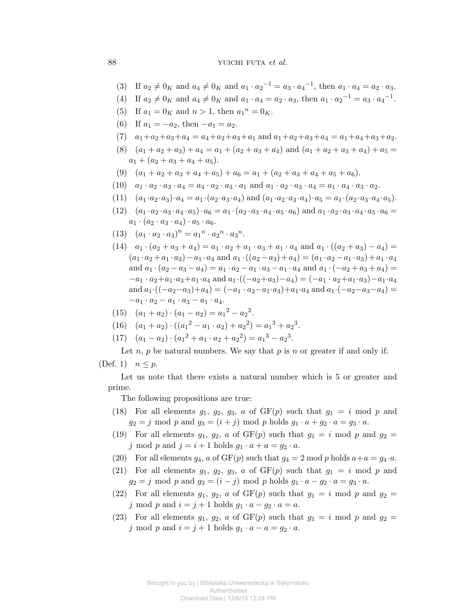88 YUICHI FUTA *et al.* 

- (3) If  $a_2 \neq 0_K$  and  $a_4 \neq 0_K$  and  $a_1 \cdot a_2^{-1} = a_3 \cdot a_4^{-1}$ , then  $a_1 \cdot a_4 = a_2 \cdot a_3$ .
- (4) If  $a_2 \neq 0_K$  and  $a_4 \neq 0_K$  and  $a_1 \cdot a_4 = a_2 \cdot a_3$ , then  $a_1 \cdot a_2^{-1} = a_3 \cdot a_4^{-1}$ .
- (5) If  $a_1 = 0_K$  and  $n > 1$ , then  $a_1^n = 0_K$ .
- (6) If  $a_1 = -a_2$ , then  $-a_1 = a_2$ .
- $(7)$   $a_1 + a_2 + a_3 + a_4 = a_4 + a_2 + a_3 + a_1$  and  $a_1 + a_2 + a_3 + a_4 = a_1 + a_4 + a_3 + a_2$ .
- $(8)$   $(a_1 + a_2 + a_3) + a_4 = a_1 + (a_2 + a_3 + a_4)$  and  $(a_1 + a_2 + a_3 + a_4) + a_5 =$  $a_1 + (a_2 + a_3 + a_4 + a_5)$ .
- (9)  $(a_1 + a_2 + a_3 + a_4 + a_5) + a_6 = a_1 + (a_2 + a_3 + a_4 + a_5 + a_6)$ .
- (10)  $a_1 \cdot a_2 \cdot a_3 \cdot a_4 = a_4 \cdot a_2 \cdot a_3 \cdot a_1$  and  $a_1 \cdot a_2 \cdot a_3 \cdot a_4 = a_1 \cdot a_4 \cdot a_3 \cdot a_2$ .
- (11)  $(a_1 \cdot a_2 \cdot a_3) \cdot a_4 = a_1 \cdot (a_2 \cdot a_3 \cdot a_4)$  and  $(a_1 \cdot a_2 \cdot a_3 \cdot a_4) \cdot a_5 = a_1 \cdot (a_2 \cdot a_3 \cdot a_4 \cdot a_5)$ .
- $(12)$   $(a_1 \cdot a_2 \cdot a_3 \cdot a_4 \cdot a_5) \cdot a_6 = a_1 \cdot (a_2 \cdot a_3 \cdot a_4 \cdot a_5 \cdot a_6)$  and  $a_1 \cdot a_2 \cdot a_3 \cdot a_4 \cdot a_5 \cdot a_6 =$  $a_1 \cdot (a_2 \cdot a_3 \cdot a_4) \cdot a_5 \cdot a_6$ .
- $(13)$   $(a_1 \cdot a_2 \cdot a_3)^n = a_1^n \cdot a_2^n \cdot a_3^n$ .
- $(14)$   $a_1 \cdot (a_2 + a_3 + a_4) = a_1 \cdot a_2 + a_1 \cdot a_3 + a_1 \cdot a_4$  and  $a_1 \cdot ((a_2 + a_3) a_4) =$  $(a_1 \cdot a_2 + a_1 \cdot a_3) - a_1 \cdot a_4$  and  $a_1 \cdot ((a_2 - a_3) + a_4) = (a_1 \cdot a_2 - a_1 \cdot a_3) + a_1 \cdot a_4$ and  $a_1 \cdot (a_2 - a_3 - a_4) = a_1 \cdot a_2 - a_1 \cdot a_3 - a_1 \cdot a_4$  and  $a_1 \cdot (-a_2 + a_3 + a_4) =$  $-a_1 \cdot a_2 + a_1 \cdot a_3 + a_1 \cdot a_4$  and  $a_1 \cdot ((-a_2 + a_3) - a_4) = (-a_1 \cdot a_2 + a_1 \cdot a_3) - a_1 \cdot a_4$ and  $a_1 \cdot ((-a_2-a_3)+a_4) = (-a_1 \cdot a_2-a_1 \cdot a_3)+a_1 \cdot a_4$  and  $a_1 \cdot (-a_2-a_3-a_4) =$  $-a_1 \cdot a_2 - a_1 \cdot a_3 - a_1 \cdot a_4.$

(15) 
$$
(a_1 + a_2) \cdot (a_1 - a_2) = a_1^2 - a_2^2
$$
.

- $(16)$   $(a_1 + a_2) \cdot ((a_1^2 a_1 \cdot a_2) + a_2^2) = a_1^3 + a_2^3.$
- $(17)$   $(a_1 a_2) \cdot (a_1^2 + a_1 \cdot a_2 + a_2^2) = a_1^3 a_2^3.$

Let *n*, *p* be natural numbers. We say that *p* is *n* or greater if and only if:

$$
(\text{Def. 1}) \quad n \le p.
$$

Let us note that there exists a natural number which is 5 or greater and prime.

The following propositions are true:

- (18) For all elements  $g_1$ ,  $g_2$ ,  $g_3$ ,  $a$  of  $GF(p)$  such that  $g_1 = i \mod p$  and  $g_2 = j \text{ mod } p \text{ and } g_3 = (i + j) \text{ mod } p \text{ holds } g_1 \cdot a + g_2 \cdot a = g_3 \cdot a.$
- (19) For all elements  $g_1, g_2, a$  of  $GF(p)$  such that  $g_1 = i \mod p$  and  $g_2 =$ *j* mod *p* and  $j = i + 1$  holds  $g_1 \cdot a + a = g_2 \cdot a$ .
- (20) For all elements  $g_4$ ,  $a$  of  $GF(p)$  such that  $g_4 = 2 \mod p$  holds  $a + a = g_4 \cdot a$ .
- (21) For all elements  $g_1, g_2, g_3, a$  of  $GF(p)$  such that  $g_1 = i \mod p$  and  $g_2 = j \text{ mod } p \text{ and } g_3 = (i - j) \text{ mod } p \text{ holds } g_1 \cdot a - g_2 \cdot a = g_3 \cdot a.$
- (22) For all elements  $g_1, g_2, a$  of  $GF(p)$  such that  $g_1 = i \mod p$  and  $g_2 =$ *j* mod *p* and  $i = j + 1$  holds  $g_1 \cdot a - g_2 \cdot a = a$ .
- (23) For all elements  $g_1, g_2, a$  of  $GF(p)$  such that  $g_1 = i \mod p$  and  $g_2 = i$ *j* mod *p* and  $i = j + 1$  holds  $g_1 \cdot a - a = g_2 \cdot a$ .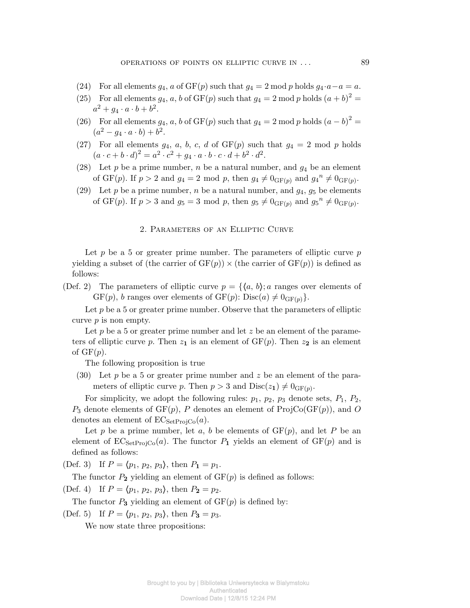- (24) For all elements  $q_4$ ,  $a$  of  $GF(p)$  such that  $q_4 = 2 \text{ mod } p$  holds  $q_4 \cdot a a = a$ .
- (25) For all elements  $g_4$ ,  $a$ ,  $b$  of  $GF(p)$  such that  $g_4 = 2 \mod p$  holds  $(a + b)^2 =$  $a^2 + g_4 \cdot a \cdot b + b^2.$
- (26) For all elements  $g_4$ ,  $a$ ,  $b$  of GF( $p$ ) such that  $g_4 = 2 \mod p$  holds  $(a b)^2 =$  $(a^2 - g_4 \cdot a \cdot b) + b^2.$
- (27) For all elements  $g_4$ ,  $a$ ,  $b$ ,  $c$ ,  $d$  of  $GF(p)$  such that  $g_4 = 2 \mod p$  holds  $(a \cdot c + b \cdot d)^2 = a^2 \cdot c^2 + g_4 \cdot a \cdot b \cdot c \cdot d + b^2 \cdot d^2.$
- (28) Let  $p$  be a prime number,  $n$  be a natural number, and  $g_4$  be an element of GF(*p*). If  $p > 2$  and  $g_4 = 2 \text{ mod } p$ , then  $g_4 \neq 0_{\text{GF}(p)}$  and  $g_4^n \neq 0_{\text{GF}(p)}$ .
- (29) Let *p* be a prime number, *n* be a natural number, and  $g_4$ ,  $g_5$  be elements of GF(*p*). If  $p > 3$  and  $g_5 = 3 \text{ mod } p$ , then  $g_5 \neq 0_{\text{GF}(p)}$  and  $g_5^n \neq 0_{\text{GF}(p)}$ .

## 2. Parameters of an Elliptic Curve

Let p be a 5 or greater prime number. The parameters of elliptic curve p yielding a subset of (the carrier of  $GF(p)$ )  $\times$  (the carrier of  $GF(p)$ ) is defined as follows:

(Def. 2) The parameters of elliptic curve  $p = \{ \langle a, b \rangle; a \text{ ranges over elements of } \}$  $GF(p)$ , *b* ranges over elements of  $GF(p)$ :  $Disc(a) \neq 0_{GF(p)}$ .

Let  $p$  be a 5 or greater prime number. Observe that the parameters of elliptic curve *p* is non empty.

Let p be a 5 or greater prime number and let z be an element of the parameters of elliptic curve p. Then  $z_1$  is an element of  $GF(p)$ . Then  $z_2$  is an element of GF(*p*).

The following proposition is true

(30) Let *p* be a 5 or greater prime number and *z* be an element of the parameters of elliptic curve *p*. Then  $p > 3$  and  $Disc(z_1) \neq 0_{GF(p)}$ .

For simplicity, we adopt the following rules:  $p_1$ ,  $p_2$ ,  $p_3$  denote sets,  $P_1$ ,  $P_2$ ,  $P_3$  denote elements of  $GF(p)$ ,  $P$  denotes an element of  $ProjCo(GF(p))$ , and  $O$ denotes an element of  $EC_{SetProjCo}(a)$ .

Let  $p$  be a prime number, let  $a, b$  be elements of  $GF(p)$ , and let  $P$  be an element of  $EC_{SetProjCo}(a)$ . The functor  $P_1$  yields an element of  $GF(p)$  and is defined as follows:

(Def. 3) If  $P = \langle p_1, p_2, p_3 \rangle$ , then  $P_1 = p_1$ .

The functor  $P_2$  yielding an element of  $GF(p)$  is defined as follows:

(Def. 4) If  $P = \langle p_1, p_2, p_3 \rangle$ , then  $P_2 = p_2$ .

The functor  $P_3$  yielding an element of  $GF(p)$  is defined by:

(Def. 5) If  $P = \langle p_1, p_2, p_3 \rangle$ , then  $P_3 = p_3$ .

We now state three propositions: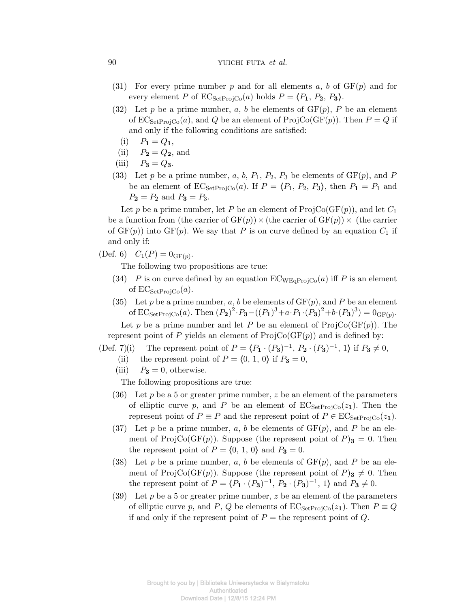# 90 yuichi futa *et al.*

- (31) For every prime number  $p$  and for all elements  $a, b$  of  $GF(p)$  and for every element *P* of  $EC_{SetProjCo}(a)$  holds  $P = \langle P_1, P_2, P_3 \rangle$ .
- (32) Let *p* be a prime number, *a*, *b* be elements of  $GF(p)$ , *P* be an element of  $EC_{SetProj} (a)$ , and Q be an element of  $ProjCo(GF(p))$ . Then  $P = Q$  if and only if the following conditions are satisfied:
	- $P_1 = Q_1$ ,
- (ii)  $P_2 = Q_2$ , and
- $P_3 = Q_3$ .
- (33) Let *p* be a prime number,  $a, b, P_1, P_2, P_3$  be elements of  $GF(p)$ , and *P* be an element of  $EC_{SetProjCo}(a)$ . If  $P = \langle P_1, P_2, P_3 \rangle$ , then  $P_1 = P_1$  and  $P_2 = P_2$  and  $P_3 = P_3$ .

Let *p* be a prime number, let *P* be an element of  $\text{ProjCo}(\text{GF}(p))$ , and let  $C_1$ be a function from (the carrier of  $GF(p)$ )  $\times$  (the carrier of  $GF(p)$ )  $\times$  (the carrier of  $GF(p)$ ) into  $GF(p)$ . We say that P is on curve defined by an equation  $C_1$  if and only if:

 $(C_1(P) = 0_{GF(p)}$ .

The following two propositions are true:

- (34) *P* is on curve defined by an equation  $EC_{WEqProiCo}(a)$  iff *P* is an element of  $EC_{SetProjCo}(a)$ .
- (35) Let p be a prime number, a, b be elements of  $GF(p)$ , and P be an element of  $EC_{SetProjCo}(a)$ . Then  $(P_2)^2 \cdot P_3 - ((P_1)^3 + a \cdot P_1 \cdot (P_3)^2 + b \cdot (P_3)^3) = 0_{GF(p)}$ . Let *p* be a prime number and let *P* be an element of  $\text{ProjCo}(\text{GF}(p))$ . The

represent point of *P* yields an element of  $\text{ProjCo}(\text{GF}(p))$  and is defined by:

(Def. 7)(i) The represent point of  $P = (P_1 \cdot (P_3)^{-1}, P_2 \cdot (P_3)^{-1}, 1)$  if  $P_3 \neq 0$ ,

- (ii) the represent point of  $P = \{0, 1, 0\}$  if  $P_3 = 0$ ,
- (iii)  $P_3 = 0$ , otherwise.

The following propositions are true:

- (36) Let *p* be a 5 or greater prime number, *z* be an element of the parameters of elliptic curve p, and P be an element of  $EC_{SetProjCo}(z_1)$ . Then the represent point of  $P \equiv P$  and the represent point of  $P \in EC_{Set}P_{\text{rojCo}}(z_1)$ .
- (37) Let p be a prime number, a, b be elements of  $GF(p)$ , and P be an element of ProjCo(GF(p)). Suppose (the represent point of  $P$ )<sub>3</sub> = 0. Then the represent point of  $P = \langle 0, 1, 0 \rangle$  and  $P_3 = 0$ .
- (38) Let p be a prime number, a, b be elements of  $GF(p)$ , and P be an element of ProjCo(GF(p)). Suppose (the represent point of  $P$ )<sub>3</sub>  $\neq$  0*.* Then the represent point of  $P = \langle P_1 \cdot (P_3)^{-1}, P_2 \cdot (P_3)^{-1}, 1 \rangle$  and  $P_3 \neq 0$ .
- (39) Let *p* be a 5 or greater prime number, *z* be an element of the parameters of elliptic curve *p*, and *P*, *Q* be elements of  $EC_{Set}P_{\text{roi}C_0}(z_1)$ . Then  $P \equiv Q$ if and only if the represent point of  $P =$  the represent point of  $Q$ .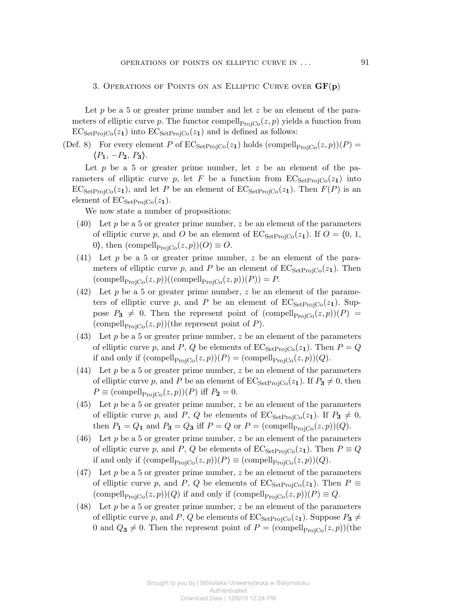3. Operations of Points on an Elliptic Curve over **GF**(**p**)

Let *p* be a 5 or greater prime number and let *z* be an element of the parameters of elliptic curve *p*. The functor compell<sub>ProjCo</sub> $(z, p)$  yields a function from  $EC_{SetProjCo}(z_1)$  into  $EC_{SetProjCo}(z_1)$  and is defined as follows:

(Def. 8) For every element *P* of  $EC_{SetProjCo}(z_1)$  holds (compell<sub>ProjCo</sub> $(z, p)(P)$ )  $\langle P_1, -P_2, P_3 \rangle$ *.* 

Let *p* be a 5 or greater prime number, let *z* be an element of the parameters of elliptic curve p, let F be a function from  $EC_{SetProjCo}(z_1)$  into  $EC_{SetProjCo}(z_1)$ , and let *P* be an element of  $EC_{SetProjCo}(z_1)$ . Then  $F(P)$  is an element of  $EC_{\text{SetProjCo}}(z_1)$ .

We now state a number of propositions:

- (40) Let *p* be a 5 or greater prime number, *z* be an element of the parameters of elliptic curve *p*, and *O* be an element of  $EC_{SetProjCo}(z_1)$ . If  $O = \langle 0, 1, \rangle$ 0), then  $(\text{compell}_{\text{ProjCo}}(z, p))(O) \equiv O.$
- (41) Let *p* be a 5 or greater prime number, *z* be an element of the parameters of elliptic curve p, and P be an element of  $EC_{SetProof}(z_1)$ . Then  $(\text{compell}_{\text{ProjCo}}(z, p))((\text{compell}_{\text{ProjCo}}(z, p))(P)) = P.$
- (42) Let *p* be a 5 or greater prime number, *z* be an element of the parameters of elliptic curve p, and P be an element of  $EC_{\text{SetProj}}(z_1)$ . Suppose  $P_3 \neq 0$ . Then the represent point of  $(\text{compell}_{\text{ProjC}_0}(z, p))(P)$ (compell<sub>ProjCo</sub> $(z, p)$ )(the represent point of *P*).
- (43) Let *p* be a 5 or greater prime number, *z* be an element of the parameters of elliptic curve *p*, and *P*, *Q* be elements of  $EC_{Set}P_{\text{roi}C_0}(z_1)$ . Then  $P = Q$ if and only if  $(\text{compell}_{\text{ProjCo}}(z, p))(P) = (\text{compell}_{\text{ProjCo}}(z, p))(Q)$ .
- (44) Let  $p$  be a 5 or greater prime number,  $z$  be an element of the parameters of elliptic curve *p*, and *P* be an element of  $EC_{SetProjCo}(z_1)$ . If  $P_3 \neq 0$ , then  $P \equiv \text{(compel}_{\text{ProjCo}}(z,p))(P)$  iff  $P_2 = 0$ *.*
- (45) Let *p* be a 5 or greater prime number, *z* be an element of the parameters of elliptic curve p, and P, Q be elements of  $EC_{SetProjCo}(z_1)$ . If  $P_3 \neq 0$ , then  $P_1 = Q_1$  and  $P_3 = Q_3$  iff  $P = Q$  or  $P = (\text{compell}_{\text{ProjCo}}(z, p))(Q)$ .
- (46) Let *p* be a 5 or greater prime number, *z* be an element of the parameters of elliptic curve *p*, and *P*, *Q* be elements of  $EC_{SetProjCo}(z_1)$ . Then  $P \equiv Q$ if and only if  $(\text{compell}_{\text{ProjCo}}(z, p))(P) \equiv (\text{compell}_{\text{ProjCo}}(z, p))(Q)$ .
- (47) Let *p* be a 5 or greater prime number, *z* be an element of the parameters of elliptic curve *p*, and *P*, *Q* be elements of  $EC_{Set}P_{\text{roiCo}}(z_1)$ . Then  $P \equiv$  $(\text{compell}_{\text{ProjCo}}(z, p))(Q)$  if and only if  $(\text{compell}_{\text{ProjCo}}(z, p))(P) \equiv Q$ .
- (48) Let *p* be a 5 or greater prime number, *z* be an element of the parameters of elliptic curve *p*, and *P*, *Q* be elements of  $EC_{SetProjCo}(z_1)$ . Suppose  $P_3 \neq$ 0 and  $Q_3 \neq 0$ . Then the represent point of  $P = \text{(compell}_{\text{ProjCo}}(z, p))$  (the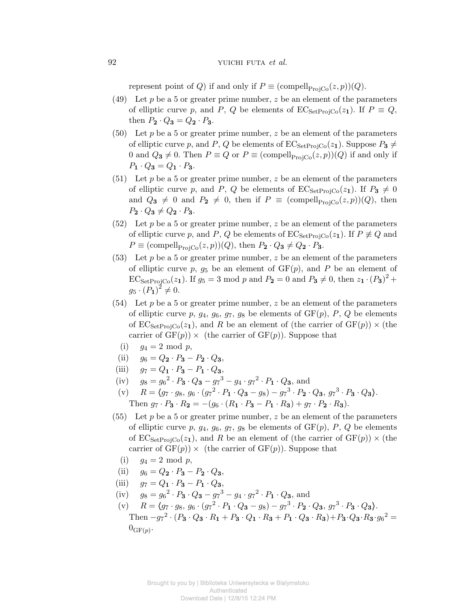represent point of *Q*) if and only if  $P \equiv \text{(compell}_{\text{Proj}(C)}(z, p))(Q)$ .

- (49) Let *p* be a 5 or greater prime number, *z* be an element of the parameters of elliptic curve *p*, and *P*, *Q* be elements of  $EC_{SetProjCo}(z_1)$ . If  $P \equiv Q$ , then  $P_2 \cdot Q_3 = Q_2 \cdot P_3$ .
- $(50)$  Let p be a 5 or greater prime number, z be an element of the parameters of elliptic curve *p*, and *P*, *Q* be elements of  $EC_{SetProjCo}(z_1)$ . Suppose  $P_3 \neq$ 0 and  $Q_3 \neq 0$ . Then  $P \equiv Q$  or  $P \equiv \text{(compel}_{\text{Proj}(\mathcal{C})}(z, p))(Q)$  if and only if  $P_1 \cdot Q_3 = Q_1 \cdot P_3$ .
- $(51)$  Let p be a 5 or greater prime number, z be an element of the parameters of elliptic curve *p*, and *P*, *Q* be elements of  $EC_{SetProjCo}(z_1)$ . If  $P_3 \neq 0$ and  $Q_3 \neq 0$  and  $P_2 \neq 0$ , then if  $P \equiv (\text{compell}_{\text{Proj}C_0}(z, p))(Q)$ , then  $P_2 \cdot Q_3 \neq Q_2 \cdot P_3$ .
- (52) Let *p* be a 5 or greater prime number, *z* be an element of the parameters of elliptic curve p, and P, Q be elements of  $EC_{\text{SetProjCo}}(z_1)$ . If  $P \not\equiv Q$  and  $P \equiv (\text{compel}_{\text{ProjCo}}(z, p))(Q)$ , then  $P_2 \cdot Q_3 \neq Q_2 \cdot P_3$ *.*
- (53) Let  $p$  be a 5 or greater prime number,  $z$  be an element of the parameters of elliptic curve  $p, q_5$  be an element of  $GF(p)$ , and P be an element of  $EC_{SetProjCo}(z_1)$ . If  $g_5 = 3 \text{ mod } p$  and  $P_2 = 0 \text{ and } P_3 \neq 0$ , then  $z_1 \cdot (P_3)^2 +$  $g_5 \cdot (P_1)^2 \neq 0.$
- (54) Let *p* be a 5 or greater prime number, *z* be an element of the parameters of elliptic curve  $p$ ,  $g_4$ ,  $g_6$ ,  $g_7$ ,  $g_8$  be elements of  $GF(p)$ ,  $P$ ,  $Q$  be elements of  $EC_{SetProjCo}(z_1)$ , and *R* be an element of (the carrier of  $GF(p)$ )  $\times$  (the carrier of  $GF(p)$   $\times$  (the carrier of  $GF(p)$ ). Suppose that
- (i)  $q_4 = 2 \mod p$ ,
- (ii)  $q_6 = Q_2 \cdot P_3 P_2 \cdot Q_3$
- $(iii)$   $q_7 = Q_1 \cdot P_3 P_1 \cdot Q_3$
- (iv)  $g_8 = g_6^2 \cdot P_3 \cdot Q_3 g_7^3 g_4 \cdot g_7^2 \cdot P_1 \cdot Q_3$ , and
- (v)  $R = \langle g_7 \cdot g_8, g_6 \cdot (g_7^2 \cdot P_1 \cdot Q_3 g_8) g_7^3 \cdot P_2 \cdot Q_3, g_7^3 \cdot P_3 \cdot Q_3 \rangle.$ Then  $g_7 \cdot P_3 \cdot R_2 = -(g_6 \cdot (R_1 \cdot P_3 - P_1 \cdot R_3) + g_7 \cdot P_2 \cdot R_3).$
- (55) Let *p* be a 5 or greater prime number, *z* be an element of the parameters of elliptic curve  $p$ ,  $g_4$ ,  $g_6$ ,  $g_7$ ,  $g_8$  be elements of  $GF(p)$ ,  $P$ ,  $Q$  be elements of  $EC_{SetProjCo}(z_1)$ , and *R* be an element of (the carrier of  $GF(p)$ )  $\times$  (the carrier of  $GF(p)$   $\times$  (the carrier of  $GF(p)$ ). Suppose that
	- (i)  $g_4 = 2 \text{ mod } p$ ,
- $(iii)$   $q_6 = Q_2 \cdot P_3 P_2 \cdot Q_3$
- $q_7 = Q_1 \cdot P_3 P_1 \cdot Q_3$
- $(jiv)$   $g_8 = g_6^2 \cdot P_3 \cdot Q_3 g_7^3 g_4 \cdot g_7^2 \cdot P_1 \cdot Q_3$ , and

Download Date | 12/8/15 12:24 PM

(v)  $R = \langle g_7 \cdot g_8, g_6 \cdot (g_7^2 \cdot P_1 \cdot Q_3 - g_8) - g_7^3 \cdot P_2 \cdot Q_3, g_7^3 \cdot P_3 \cdot Q_3 \rangle.$ Then  $-g_7^2 \cdot (P_3 \cdot Q_3 \cdot R_1 + P_3 \cdot Q_1 \cdot R_3 + P_1 \cdot Q_3 \cdot R_3) + P_3 \cdot Q_3 \cdot R_3 \cdot g_6^2 =$  $0_{\text{GF}(p)}$ .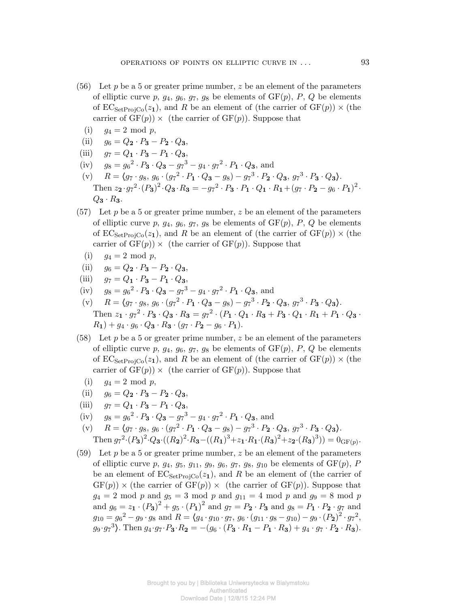- (56) Let *p* be a 5 or greater prime number, *z* be an element of the parameters of elliptic curve  $p$ ,  $g_4$ ,  $g_6$ ,  $g_7$ ,  $g_8$  be elements of  $GF(p)$ ,  $P$ ,  $Q$  be elements of  $EC_{SetProjC_0}(z_1)$ , and R be an element of (the carrier of  $GF(p)$ )  $\times$  (the carrier of  $GF(p)$ )  $\times$  (the carrier of  $GF(p)$ ). Suppose that
	- (i)  $q_4 = 2 \mod p$ ,
- (ii)  $q_6 = Q_2 \cdot P_3 P_2 \cdot Q_3$
- $q_7 = Q_1 \cdot P_3 P_1 \cdot Q_3$
- $(jiv)$   $g_8 = g_6^2 \cdot P_3 \cdot Q_3 g_7^3 g_4 \cdot g_7^2 \cdot P_1 \cdot Q_3$ , and
- (v)  $R = \langle g_7 \cdot g_8, g_6 \cdot (g_7^2 \cdot P_1 \cdot Q_3 g_8) g_7^3 \cdot P_2 \cdot Q_3, g_7^3 \cdot P_3 \cdot Q_3 \rangle.$ Then  $z_2 \cdot g_7^2 \cdot (P_3)^2 \cdot Q_3 \cdot R_3 = -g_7^2 \cdot P_3 \cdot P_1 \cdot Q_1 \cdot R_1 + (g_7 \cdot P_2 - g_6 \cdot P_1)^2$ .  $Q_3 \cdot R_3$ *.*
- (57) Let  $p$  be a 5 or greater prime number,  $z$  be an element of the parameters of elliptic curve  $p$ ,  $g_4$ ,  $g_6$ ,  $g_7$ ,  $g_8$  be elements of  $GF(p)$ ,  $P$ ,  $Q$  be elements of  $EC_{SetProj}(z_1)$ , and R be an element of (the carrier of  $GF(p)$ )  $\times$  (the carrier of  $GF(p)$ )  $\times$  (the carrier of  $GF(p)$ ). Suppose that

$$
(i) \t g_4 = 2 \bmod p,
$$

- $(iii)$   $q_6 = Q_2 \cdot P_3 P_2 \cdot Q_3$
- $(iii)$   $q_7 = Q_1 \cdot P_3 P_1 \cdot Q_3$
- $(jiv)$   $g_8 = g_6^2 \cdot P_3 \cdot Q_3 g_7^3 g_4 \cdot g_7^2 \cdot P_1 \cdot Q_3$ , and
- (v)  $R = \langle g_7 \cdot g_8, g_6 \cdot (g_7^2 \cdot P_1 \cdot Q_3 g_8) g_7^3 \cdot P_2 \cdot Q_3, g_7^3 \cdot P_3 \cdot Q_3 \rangle.$ Then  $z_1 \cdot g_7^2 \cdot P_3 \cdot Q_3 \cdot R_3 = g_7^2 \cdot (P_1 \cdot Q_1 \cdot R_3 + P_3 \cdot Q_1 \cdot R_1 + P_1 \cdot Q_3 \cdot$  $R_1$ ) +  $g_4 \cdot g_6 \cdot Q_3 \cdot R_3 \cdot (g_7 \cdot P_2 - g_6 \cdot P_1)$ .
- (58) Let *p* be a 5 or greater prime number, *z* be an element of the parameters of elliptic curve  $p$ ,  $g_4$ ,  $g_6$ ,  $g_7$ ,  $g_8$  be elements of  $GF(p)$ ,  $P$ ,  $Q$  be elements of  $EC_{\text{SetProj}}(z_1)$ , and R be an element of (the carrier of  $GF(p) \times$  (the carrier of  $GF(p)$   $\times$  (the carrier of  $GF(p)$ ). Suppose that
	- (i)  $q_4 = 2 \mod p$ ,
- (ii)  $q_6 = Q_2 \cdot P_3 P_2 \cdot Q_3$
- $(iii)$   $q_7 = Q_1 \cdot P_3 P_1 \cdot Q_3$
- $(jiv)$   $g_8 = g_6^2 \cdot P_3 \cdot Q_3 g_7^3 g_4 \cdot g_7^2 \cdot P_1 \cdot Q_3$ , and
- (v)  $R = \langle g_7 \cdot g_8, g_6 \cdot (g_7^2 \cdot P_1 \cdot Q_3 g_8) g_7^3 \cdot P_2 \cdot Q_3, g_7^3 \cdot P_3 \cdot Q_3 \rangle.$ Then  $g_7^2 \cdot (P_3)^2 \cdot Q_3 \cdot ((R_2)^2 \cdot R_3 - ((R_1)^3 + z_1 \cdot R_1 \cdot (R_3)^2 + z_2 \cdot (R_3)^3)) = 0_{\text{GF}(p)}$ .
- (59) Let *p* be a 5 or greater prime number, *z* be an element of the parameters of elliptic curve *p*,  $g_4$ ,  $g_5$ ,  $g_{11}$ ,  $g_9$ ,  $g_6$ ,  $g_7$ ,  $g_8$ ,  $g_{10}$  be elements of  $GF(p)$ , *P* be an element of  $EC_{SetProjCo}(z_1)$ , and R be an element of (the carrier of  $GF(p)) \times$  (the carrier of  $GF(p)) \times$  (the carrier of  $GF(p)$ ). Suppose that  $g_4 = 2 \text{ mod } p$  and  $g_5 = 3 \text{ mod } p$  and  $g_{11} = 4 \text{ mod } p$  and  $g_9 = 8 \text{ mod } p$ and  $g_6 = z_1 \cdot (P_3)^2 + g_5 \cdot (P_1)^2$  and  $g_7 = P_2 \cdot P_3$  and  $g_8 = P_1 \cdot P_2 \cdot g_7$  and  $g_{10} = g_6^2 - g_9 \cdot g_8$  and  $R = \langle g_4 \cdot g_{10} \cdot g_7, g_6 \cdot (g_{11} \cdot g_8 - g_{10}) - g_9 \cdot (P_2)^2 \cdot g_7^2$  $g_9 \cdot g_7^3$ . Then  $g_4 \cdot g_7 \cdot P_3 \cdot R_2 = -(g_6 \cdot (P_3 \cdot R_1 - P_1 \cdot R_3) + g_4 \cdot g_7 \cdot P_2 \cdot R_3)$ .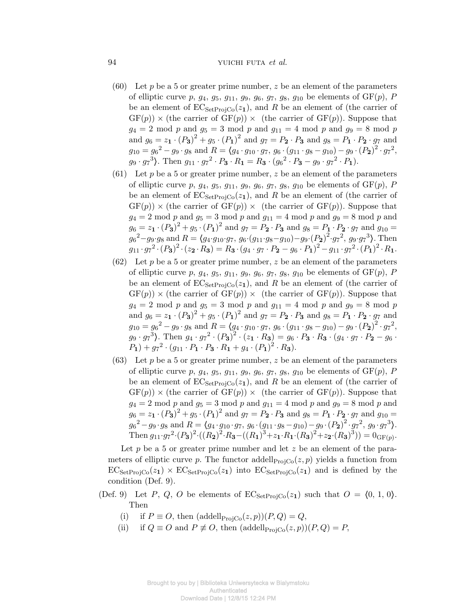## 94 yuichi futa *et al.*

- (60) Let  $p$  be a 5 or greater prime number,  $z$  be an element of the parameters of elliptic curve  $p, g_4, g_5, g_{11}, g_9, g_6, g_7, g_8, g_{10}$  be elements of  $GF(p), P$ be an element of  $EC_{Set}P_{\text{roi}Co}(z_1)$ , and R be an element of (the carrier of  $GF(p)) \times$  (the carrier of  $GF(p)) \times$  (the carrier of  $GF(p)$ ). Suppose that  $g_4 = 2 \text{ mod } p \text{ and } g_5 = 3 \text{ mod } p \text{ and } g_{11} = 4 \text{ mod } p \text{ and } g_9 = 8 \text{ mod } p$ and  $g_6 = z_1 \cdot (P_3)^2 + g_5 \cdot (P_1)^2$  and  $g_7 = P_2 \cdot P_3$  and  $g_8 = P_1 \cdot P_2 \cdot g_7$  and  $g_{10} = g_6^2 - g_9 \cdot g_8$  and  $R = \langle g_4 \cdot g_{10} \cdot g_7, g_6 \cdot (g_{11} \cdot g_8 - g_{10}) - g_9 \cdot (P_2)^2 \cdot g_7^2$  $g_9 \cdot g_7^3$ . Then  $g_{11} \cdot g_7^2 \cdot P_3 \cdot R_1 = R_3 \cdot (g_6^2 \cdot P_3 - g_9 \cdot g_7^2 \cdot P_1)$ .
- (61) Let  $p$  be a 5 or greater prime number,  $z$  be an element of the parameters of elliptic curve *p*,  $g_4$ ,  $g_5$ ,  $g_{11}$ ,  $g_9$ ,  $g_6$ ,  $g_7$ ,  $g_8$ ,  $g_{10}$  be elements of  $GF(p)$ , *P* be an element of  $EC_{SetProjCo}(z_1)$ , and R be an element of (the carrier of  $GF(p)) \times$  (the carrier of  $GF(p)) \times$  (the carrier of  $GF(p)$ ). Suppose that  $g_4 = 2 \text{ mod } p$  and  $g_5 = 3 \text{ mod } p$  and  $g_{11} = 4 \text{ mod } p$  and  $g_9 = 8 \text{ mod } p$  and  $g_6 = z_1 \cdot (P_3)^2 + g_5 \cdot (P_1)^2$  and  $g_7 = P_2 \cdot P_3$  and  $g_8 = P_1 \cdot P_2 \cdot g_7$  and  $g_{10} =$  $g_6^2 - g_9 \cdot g_8$  and  $R = \langle g_4 \cdot g_{10} \cdot g_7, g_6 \cdot (g_{11} \cdot g_8 - g_{10}) - g_9 \cdot (P_2)^2 \cdot g_7^2, g_9 \cdot g_7^3 \rangle$ . Then  $g_{11} \cdot g_7^2 \cdot (P_3)^2 \cdot (z_2 \cdot R_3) = R_3 \cdot (g_4 \cdot g_7 \cdot P_2 - g_6 \cdot P_1)^2 - g_{11} \cdot g_7^2 \cdot (P_1)^2 \cdot R_1.$
- (62) Let  $p$  be a 5 or greater prime number,  $z$  be an element of the parameters of elliptic curve *p*,  $g_4$ ,  $g_5$ ,  $g_{11}$ ,  $g_9$ ,  $g_6$ ,  $g_7$ ,  $g_8$ ,  $g_{10}$  be elements of  $GF(p)$ , *P* be an element of  $EC_{SetProj}(z_1)$ , and R be an element of (the carrier of  $GF(p)) \times (the carrier of GF(p)) \times (the carrier of GF(p)).$  Suppose that  $g_4 = 2 \text{ mod } p$  and  $g_5 = 3 \text{ mod } p$  and  $g_{11} = 4 \text{ mod } p$  and  $g_9 = 8 \text{ mod } p$ and  $g_6 = z_1 \cdot (P_3)^2 + g_5 \cdot (P_1)^2$  and  $g_7 = P_2 \cdot P_3$  and  $g_8 = P_1 \cdot P_2 \cdot g_7$  and  $g_{10} = g_6^2 - g_9 \cdot g_8$  and  $R = \langle g_4 \cdot g_{10} \cdot g_7, g_6 \cdot (g_{11} \cdot g_8 - g_{10}) - g_9 \cdot (P_2)^2 \cdot g_7^2$ ,  $g_9 \cdot g_7^3$ . Then  $g_4 \cdot g_7^2 \cdot (P_3)^2 \cdot (z_1 \cdot R_3) = g_6 \cdot P_3 \cdot R_3 \cdot (g_4 \cdot g_7 \cdot P_2 - g_6 \cdot P_3)$  $P_1$ ) +  $g_7{}^2 \cdot (g_{11} \cdot P_1 \cdot P_3 \cdot R_1 + g_4 \cdot (P_1)^2 \cdot R_3)$ .
- (63) Let *p* be a 5 or greater prime number, *z* be an element of the parameters of elliptic curve  $p, g_4, g_5, g_{11}, g_9, g_6, g_7, g_8, g_{10}$  be elements of  $GF(p), P$ be an element of  $EC_{Set}P_{\text{roi}Co}(z_1)$ , and R be an element of (the carrier of  $GF(p)) \times$  (the carrier of  $GF(p)) \times$  (the carrier of  $GF(p)$ ). Suppose that  $g_4 = 2 \text{ mod } p$  and  $g_5 = 3 \text{ mod } p$  and  $g_{11} = 4 \text{ mod } p$  and  $g_9 = 8 \text{ mod } p$  and  $g_6 = z_1 \cdot (P_3)^2 + g_5 \cdot (P_1)^2$  and  $g_7 = P_2 \cdot P_3$  and  $g_8 = P_1 \cdot P_2 \cdot g_7$  and  $g_{10} =$  $g_6^2 - g_9 \cdot g_8$  and  $R = \langle g_4 \cdot g_{10} \cdot g_7, g_6 \cdot (g_{11} \cdot g_8 - g_{10}) - g_9 \cdot (P_2)^2 \cdot g_7^2, g_9 \cdot g_7^3 \rangle.$ Then  $g_{11} \cdot g_7^2 \cdot (P_3)^2 \cdot ((R_2)^2 \cdot R_3 - ((R_1)^3 + z_1 \cdot R_1 \cdot (R_3)^2 + z_2 \cdot (R_3)^3)) = 0_{\text{GF}(p)}$ .

Let p be a 5 or greater prime number and let z be an element of the parameters of elliptic curve p. The functor addell $p_{\text{rojCo}}(z, p)$  yields a function from  $EC_{SetProjCo}(z_1) \times EC_{SetProjCo}(z_1)$  into  $EC_{SetProjCo}(z_1)$  and is defined by the condition (Def. 9).

- (Def. 9) Let *P*, *Q*, *O* be elements of  $EC_{Set}P_{\text{roi}Co}(z_1)$  such that  $O = \langle 0, 1, 0 \rangle$ . Then
	- (i) if  $P \equiv O$ , then  $(\text{addell}_{\text{ProjCo}}(z, p))(P, Q) = Q$ ,
	- (ii) if  $Q \equiv O$  and  $P \not\equiv O$ , then  $(\text{addell}_{\text{Proj}(\mathcal{C})}(z, p))(P, Q) = P$ ,